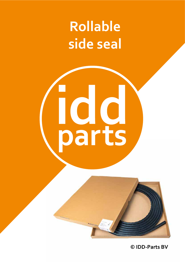### **Rollable side seal**

# **ICIC**<br>parts

**© IDD-Parts BV**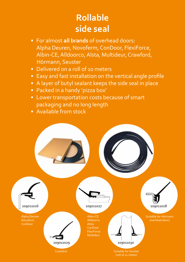#### **Rollable side seal**

- For almost **all brands** of overhead doors: Alpha Deuren, Novoferm, ConDoor, FlexiForce, Albin-CE, Alldoorco, Alsta, Multideur, Crawford, Hörmann, Seuster
- Delivered on a roll of 10 meters
- Easy and fast installation on the vertical angle profile
- A layer of butyl sealant keeps the side seal in place
- Packed in a handy 'pizza box'
- Lower transportation costs because of smart packaging and no long length
- Available from stock

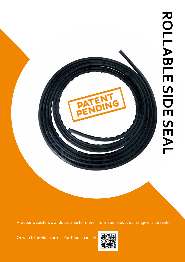

Visit our website www.iddparts.eu for more information about our range of side seals!

Or watch the video on our YouTube-channel: